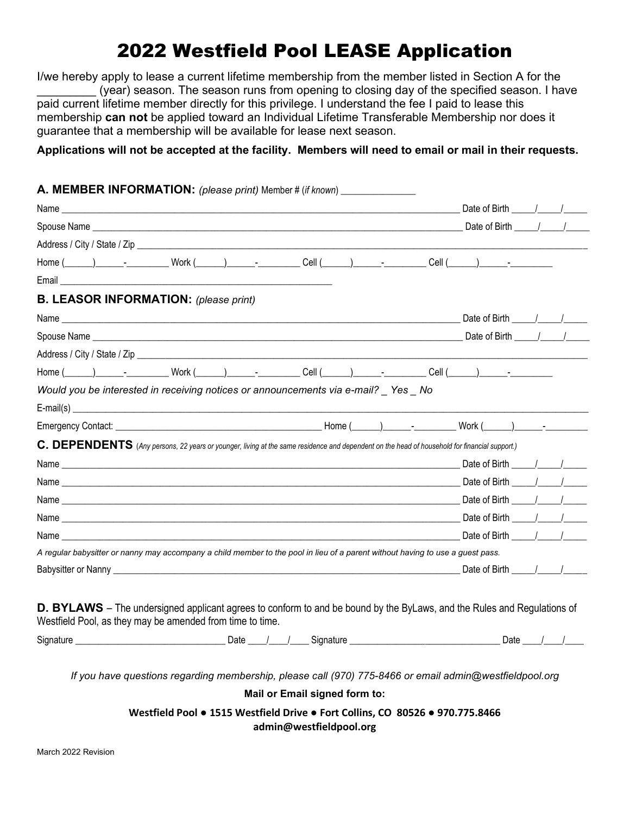# 2022 Westfield Pool LEASE Application

I/we hereby apply to lease a current lifetime membership from the member listed in Section A for the (year) season. The season runs from opening to closing day of the specified season. I have paid current lifetime member directly for this privilege. I understand the fee I paid to lease this membership **can not** be applied toward an Individual Lifetime Transferable Membership nor does it guarantee that a membership will be available for lease next season.

## **Applications will not be accepted at the facility. Members will need to email or mail in their requests.**

| <b>A. MEMBER INFORMATION:</b> (please print) Member # (if known) _____________                                                                                                              |  |  |                                                |                                       |  |
|---------------------------------------------------------------------------------------------------------------------------------------------------------------------------------------------|--|--|------------------------------------------------|---------------------------------------|--|
|                                                                                                                                                                                             |  |  |                                                |                                       |  |
|                                                                                                                                                                                             |  |  |                                                |                                       |  |
|                                                                                                                                                                                             |  |  |                                                |                                       |  |
| Home (_____)_________________Work (_____)_____________Cell (_____)____________Cell (_____)_______________                                                                                   |  |  |                                                |                                       |  |
|                                                                                                                                                                                             |  |  |                                                |                                       |  |
| <b>B. LEASOR INFORMATION: (please print)</b>                                                                                                                                                |  |  |                                                |                                       |  |
|                                                                                                                                                                                             |  |  |                                                |                                       |  |
|                                                                                                                                                                                             |  |  |                                                |                                       |  |
|                                                                                                                                                                                             |  |  |                                                |                                       |  |
|                                                                                                                                                                                             |  |  |                                                |                                       |  |
| Would you be interested in receiving notices or announcements via e-mail? _ Yes _ No                                                                                                        |  |  |                                                |                                       |  |
|                                                                                                                                                                                             |  |  |                                                |                                       |  |
|                                                                                                                                                                                             |  |  |                                                |                                       |  |
| C. DEPENDENTS (Any persons, 22 years or younger, living at the same residence and dependent on the head of household for financial support.)                                                |  |  |                                                |                                       |  |
|                                                                                                                                                                                             |  |  |                                                |                                       |  |
|                                                                                                                                                                                             |  |  |                                                |                                       |  |
|                                                                                                                                                                                             |  |  |                                                |                                       |  |
|                                                                                                                                                                                             |  |  |                                                |                                       |  |
|                                                                                                                                                                                             |  |  |                                                |                                       |  |
| A regular babysitter or nanny may accompany a child member to the pool in lieu of a parent without having to use a guest pass.                                                              |  |  |                                                |                                       |  |
|                                                                                                                                                                                             |  |  | Date of Birth $\frac{1}{\sqrt{1-\frac{1}{2}}}$ |                                       |  |
| <b>D. BYLAWS</b> – The undersigned applicant agrees to conform to and be bound by the ByLaws, and the Rules and Regulations of<br>Westfield Pool, as they may be amended from time to time. |  |  |                                                |                                       |  |
|                                                                                                                                                                                             |  |  |                                                | Date $\frac{1}{\sqrt{1-\frac{1}{2}}}$ |  |
| If you have questions regarding membership, please call (970) 775-8466 or email admin@westfieldpool.org<br>Mail or Email signed form to:                                                    |  |  |                                                |                                       |  |
| Westfield Pool . 1515 Westfield Drive . Fort Collins, CO 80526 . 970.775.8466                                                                                                               |  |  |                                                |                                       |  |
| admin@westfieldpool.org                                                                                                                                                                     |  |  |                                                |                                       |  |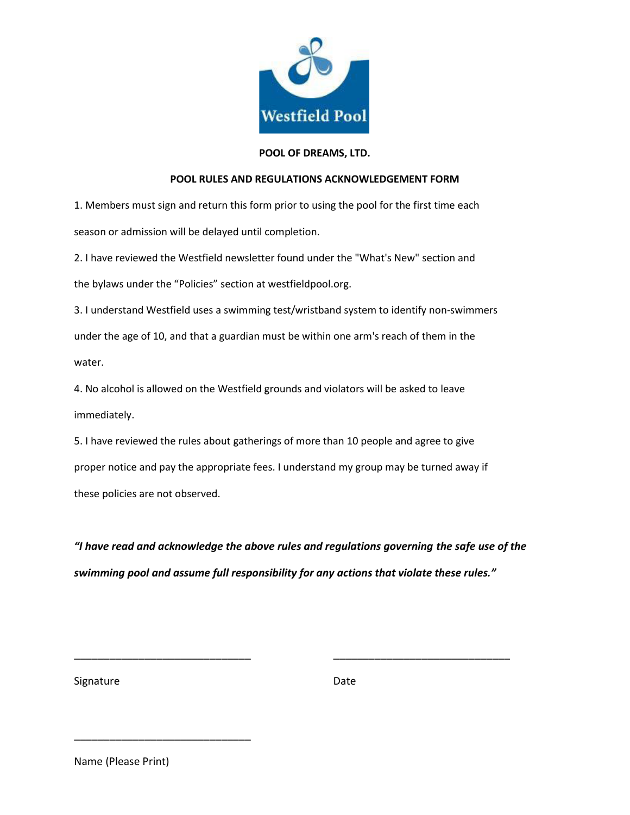

### **POOL OF DREAMS, LTD.**

#### **POOL RULES AND REGULATIONS ACKNOWLEDGEMENT FORM**

1. Members must sign and return this form prior to using the pool for the first time each season or admission will be delayed until completion.

2. I have reviewed the Westfield newsletter found under the "What's New" section and the bylaws under the "Policies" section at westfieldpool.org.

3. I understand Westfield uses a swimming test/wristband system to identify non-swimmers under the age of 10, and that a guardian must be within one arm's reach of them in the water.

4. No alcohol is allowed on the Westfield grounds and violators will be asked to leave immediately.

5. I have reviewed the rules about gatherings of more than 10 people and agree to give proper notice and pay the appropriate fees. I understand my group may be turned away if these policies are not observed.

*"I have read and acknowledge the above rules and regulations governing the safe use of the swimming pool and assume full responsibility for any actions that violate these rules."*

\_\_\_\_\_\_\_\_\_\_\_\_\_\_\_\_\_\_\_\_\_\_\_\_\_\_\_\_\_\_ \_\_\_\_\_\_\_\_\_\_\_\_\_\_\_\_\_\_\_\_\_\_\_\_\_\_\_\_\_\_

Signature Date Date

Name (Please Print)

\_\_\_\_\_\_\_\_\_\_\_\_\_\_\_\_\_\_\_\_\_\_\_\_\_\_\_\_\_\_